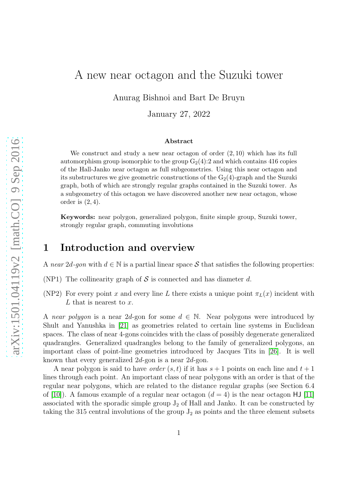# A new near octagon and the Suzuki tower

Anurag Bishnoi and Bart De Bruyn

January 27, 2022

#### Abstract

We construct and study a new near octagon of order  $(2, 10)$  which has its full automorphism group isomorphic to the group  $G_2(4):2$  and which contains 416 copies of the Hall-Janko near octagon as full subgeometries. Using this near octagon and its substructures we give geometric constructions of the  $G_2(4)$ -graph and the Suzuki graph, both of which are strongly regular graphs contained in the Suzuki tower. As a subgeometry of this octagon we have discovered another new near octagon, whose order is  $(2, 4)$ .

Keywords: near polygon, generalized polygon, finite simple group, Suzuki tower, strongly regular graph, commuting involutions

## <span id="page-0-0"></span>1 Introduction and overview

A *near* 2d-gon with  $d \in \mathbb{N}$  is a partial linear space S that satisfies the following properties:

- (NP1) The collinearity graph of  $S$  is connected and has diameter d.
- (NP2) For every point x and every line L there exists a unique point  $\pi_L(x)$  incident with  $L$  that is nearest to  $x$ .

A *near polygon* is a near 2*d*-gon for some  $d \in \mathbb{N}$ . Near polygons were introduced by Shult and Yanushka in [\[21\]](#page-23-0) as geometries related to certain line systems in Euclidean spaces. The class of near 4-gons coincides with the class of possibly degenerate generalized quadrangles. Generalized quadrangles belong to the family of generalized polygons, an important class of point-line geometries introduced by Jacques Tits in [\[26\]](#page-23-1). It is well known that every generalized 2d-gon is a near 2d-gon.

A near polygon is said to have *order*  $(s, t)$  if it has  $s + 1$  points on each line and  $t + 1$ lines through each point. An important class of near polygons with an order is that of the regular near polygons, which are related to the distance regular graphs (see Section 6.4 of [\[10\]](#page-22-0)). A famous example of a regular near octagon  $(d = 4)$  is the near octagon HJ [\[11\]](#page-23-2) associated with the sporadic simple group  $J_2$  of Hall and Janko. It can be constructed by taking the 315 central involutions of the group  $J_2$  as points and the three element subsets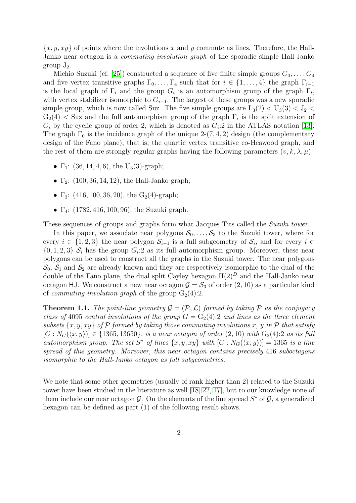${x, y, xy}$  of points where the involutions x and y commute as lines. Therefore, the Hall-Janko near octagon is a *commuting involution graph* of the sporadic simple Hall-Janko group  $J_2$ .

Michio Suzuki (cf. [\[25\]](#page-23-3)) constructed a sequence of five finite simple groups  $G_0, \ldots, G_4$ and five vertex transitive graphs  $\Gamma_0, \ldots, \Gamma_4$  such that for  $i \in \{1, \ldots, 4\}$  the graph  $\Gamma_{i-1}$ is the local graph of  $\Gamma_i$  and the group  $G_i$  is an automorphism group of the graph  $\Gamma_i$ , with vertex stabilizer isomorphic to  $G_{i-1}$ . The largest of these groups was a new sporadic simple group, which is now called Suz. The five simple groups are  $L_3(2) < U_3(3) < J_2 <$  $G_2(4)$  < Suz and the full automorphism group of the graph  $\Gamma_i$  is the split extension of  $G_i$  by the cyclic group of order 2, which is denoted as  $G_i:2$  in the ATLAS notation [\[13\]](#page-23-4). The graph  $\Gamma_0$  is the incidence graph of the unique 2-(7, 4, 2) design (the complementary design of the Fano plane), that is, the quartic vertex transitive co-Heawood graph, and the rest of them are strongly regular graphs having the following parameters  $(v, k, \lambda, \mu)$ :

- $\Gamma_1$ : (36, 14, 4, 6), the U<sub>3</sub>(3)-graph;
- $\Gamma_2$ : (100, 36, 14, 12), the Hall-Janko graph;
- $\Gamma_3$ : (416, 100, 36, 20), the G<sub>2</sub>(4)-graph;
- $\Gamma_4$ : (1782, 416, 100, 96), the Suzuki graph.

These sequences of groups and graphs form what Jacques Tits called the *Suzuki tower*.

In this paper, we associate near polygons  $S_0, \ldots, S_3$  to the Suzuki tower, where for every  $i \in \{1,2,3\}$  the near polygon  $\mathcal{S}_{i-1}$  is a full subgeometry of  $\mathcal{S}_i$ , and for every  $i \in$  $\{0, 1, 2, 3\}$   $S_i$  has the group  $G_i:2$  as its full automorphism group. Moreover, these near polygons can be used to construct all the graphs in the Suzuki tower. The near polygons  $\mathcal{S}_0$ ,  $\mathcal{S}_1$  and  $\mathcal{S}_2$  are already known and they are respectively isomorphic to the dual of the double of the Fano plane, the dual split Cayley hexagon  $H(2)^D$  and the Hall-Janko near octagon HJ. We construct a new near octagon  $\mathcal{G} = \mathcal{S}_3$  of order  $(2, 10)$  as a particular kind of *commuting involution graph* of the group  $G_2(4):2$ .

<span id="page-1-0"></span>**Theorem 1.1.** *The point-line geometry*  $\mathcal{G} = (\mathcal{P}, \mathcal{L})$  *formed by taking*  $\mathcal{P}$  *as the conjugacy class of* 4095 *central involutions of the group*  $G = G_2(4)$ :2 *and lines as the three element subsets*  $\{x, y, xy\}$  *of* P *formed by taking those commuting involutions* x, y in P that satisfy  $[G: N_G(\langle x, y \rangle)] \in \{1365, 13650\}$ *, is a near octagon of order*  $(2, 10)$  *with*  $G_2(4):2$  *as its full automorphism group. The set*  $S^*$  *of lines*  $\{x, y, xy\}$  *with*  $[G: N_G(\langle x, y \rangle)] = 1365$  *is a line spread of this geometry. Moreover, this near octagon contains precisely* 416 *suboctagons isomorphic to the Hall-Janko octagon as full subgeometries.*

We note that some other geometries (usually of rank higher than 2) related to the Suzuki tower have been studied in the literature as well [\[18,](#page-23-5) [22,](#page-23-6) [17\]](#page-23-7), but to our knowledge none of them include our near octagon  $\mathcal{G}$ . On the elements of the line spread  $S^*$  of  $\mathcal{G}$ , a generalized hexagon can be defined as part (1) of the following result shows.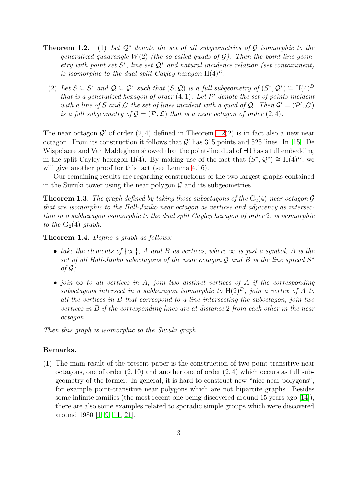- Theorem 1.2. (1) *Let* Q<sup>∗</sup> *denote the set of all subgeometries of* G *isomorphic to the generalized quadrangle* W(2) *(the so-called quads of* G*). Then the point-line geometry with point set* S ∗ *, line set* Q<sup>∗</sup> *and natural incidence relation (set containment) is isomorphic to the dual split Cayley hexagon*  $H(4)^D$ .
	- (2) Let  $S \subseteq S^*$  and  $\mathcal{Q} \subseteq \mathcal{Q}^*$  such that  $(S, \mathcal{Q})$  is a full subgeometry of  $(S^*, \mathcal{Q}^*) \cong H(4)^D$ *that is a generalized hexagon of order* (4, 1)*. Let* P ′ *denote the set of points incident* with a line of S and  $\mathcal{L}'$  the set of lines incident with a quad of  $\mathcal{Q}$ . Then  $\mathcal{G}' = (\mathcal{P}', \mathcal{L}')$ *is a full subgeometry of*  $\mathcal{G} = (\mathcal{P}, \mathcal{L})$  *that is a near octagon of order*  $(2, 4)$ *.*

The near octagon  $\mathcal{G}'$  of order  $(2, 4)$  defined in Theorem 1.2(2) is in fact also a new near octagon. From its construction it follows that  $\mathcal{G}'$  has 315 points and 525 lines. In [\[15\]](#page-23-8), De Wispelaere and Van Maldeghem showed that the point-line dual of HJ has a full embedding in the split Cayley hexagon H(4). By making use of the fact that  $(S^*, \mathcal{Q}^*) \cong H(4)^D$ , we will give another proof for this fact (see Lemma [4.16\)](#page-13-0).

Our remaining results are regarding constructions of the two largest graphs contained in the Suzuki tower using the near polygon  $G$  and its subgeometries.

<span id="page-2-0"></span>**Theorem 1.3.** The graph defined by taking those suboctagons of the  $G_2(4)$ -near octagon  $\mathcal G$ *that are isomorphic to the Hall-Janko near octagon as vertices and adjacency as intersection in a subhexagon isomorphic to the dual split Cayley hexagon of order* 2*, is isomorphic to the*  $G_2(4)$ *-graph.* 

<span id="page-2-1"></span>Theorem 1.4. *Define a graph as follows:*

- *take the elements of*  $\{\infty\}$ , A and B as vertices, where  $\infty$  *is just a symbol*, A *is the* set of all Hall-Janko suboctagons of the near octagon  $G$  and  $B$  is the line spread  $S^*$ *of* G*;*
- *join* ∞ *to all vertices in* A*, join two distinct vertices of* A *if the corresponding suboctagons intersect in a subhexagon isomorphic to*  $H(2)^D$ *, join a vertex of* A *to all the vertices in* B *that correspond to a line intersecting the suboctagon, join two vertices in* B *if the corresponding lines are at distance* 2 *from each other in the near octagon.*

*Then this graph is isomorphic to the Suzuki graph.*

### Remarks.

(1) The main result of the present paper is the construction of two point-transitive near octagons, one of order  $(2, 10)$  and another one of order  $(2, 4)$  which occurs as full subgeometry of the former. In general, it is hard to construct new "nice near polygons", for example point-transitive near polygons which are not bipartite graphs. Besides some infinite families (the most recent one being discovered around 15 years ago [\[14\]](#page-23-9)), there are also some examples related to sporadic simple groups which were discovered around 1980 [\[1,](#page-22-1) [9,](#page-22-2) [11,](#page-23-2) [21\]](#page-23-0).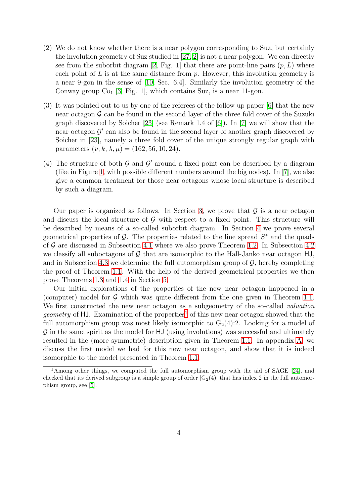- (2) We do not know whether there is a near polygon corresponding to Suz, but certainly the involution geometry of Suz studied in [\[27,](#page-23-10) [2\]](#page-22-3) is not a near polygon. We can directly see from the suborbit diagram [\[2,](#page-22-3) Fig. 1] that there are point-line pairs  $(p, L)$  where each point of  $L$  is at the same distance from  $p$ . However, this involution geometry is a near 9-gon in the sense of [\[10,](#page-22-0) Sec. 6.4]. Similarly the involution geometry of the Conway group  $Co<sub>1</sub>$  [\[3,](#page-22-4) Fig. 1], which contains Suz, is a near 11-gon.
- (3) It was pointed out to us by one of the referees of the follow up paper [\[6\]](#page-22-5) that the new near octagon  $\mathcal G$  can be found in the second layer of the three fold cover of the Suzuki graph discovered by Soicher [\[23\]](#page-23-11) (see Remark 1.4 of [\[6\]](#page-22-5)). In [\[7\]](#page-22-6) we will show that the near octagon  $\mathcal{G}'$  can also be found in the second layer of another graph discovered by Soicher in [\[23\]](#page-23-11), namely a three fold cover of the unique strongly regular graph with parameters  $(v, k, \lambda, \mu) = (162, 56, 10, 24).$
- (4) The structure of both  $G$  and  $G'$  around a fixed point can be described by a diagram (like in Figure [1,](#page-6-0) with possible different numbers around the big nodes). In [\[7\]](#page-22-6), we also give a common treatment for those near octagons whose local structure is described by such a diagram.

Our paper is organized as follows. In Section [3,](#page-5-0) we prove that  $\mathcal G$  is a near octagon and discuss the local structure of  $G$  with respect to a fixed point. This structure will be described by means of a so-called suborbit diagram. In Section [4](#page-7-0) we prove several geometrical properties of  $\mathcal{G}$ . The properties related to the line spread  $S^*$  and the quads of  $G$  are discussed in Subsection [4.1](#page-7-1) where we also prove Theorem 1.2. In Subsection [4.2](#page-12-0) we classify all suboctagons of  $G$  that are isomorphic to the Hall-Janko near octagon  $HJ$ , and in Subsection [4.3](#page-16-0) we determine the full automorphism group of  $\mathcal{G}$ , hereby completing the proof of Theorem [1.1.](#page-1-0) With the help of the derived geometrical properties we then prove Theorems [1.3](#page-2-0) and [1.4](#page-2-1) in Section [5.](#page-17-0)

Our initial explorations of the properties of the new near octagon happened in a (computer) model for  $G$  which was quite different from the one given in Theorem [1.1.](#page-1-0) We first constructed the new near octagon as a subgeometry of the so-called *valuation geometry* of HJ. Examination of the properties<sup>[1](#page-3-0)</sup> of this new near octagon showed that the full automorphism group was most likely isomorphic to  $G_2(4):2$ . Looking for a model of  $\mathcal G$  in the same spirit as the model for HJ (using involutions) was successful and ultimately resulted in the (more symmetric) description given in Theorem [1.1.](#page-1-0) In appendix [A,](#page-20-0) we discuss the first model we had for this new near octagon, and show that it is indeed isomorphic to the model presented in Theorem [1.1.](#page-1-0)

<span id="page-3-0"></span><sup>1</sup>Among other things, we computed the full automorphism group with the aid of SAGE [\[24\]](#page-23-12), and checked that its derived subgroup is a simple group of order  $|G_2(4)|$  that has index 2 in the full automorphism group, see [\[5\]](#page-22-7).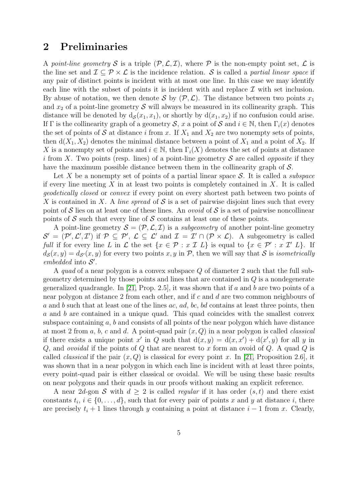# 2 Preliminaries

A *point-line geometry* S is a triple  $(\mathcal{P}, \mathcal{L}, \mathcal{I})$ , where P is the non-empty point set,  $\mathcal{L}$  is the line set and  $\mathcal{I} \subseteq \mathcal{P} \times \mathcal{L}$  is the incidence relation. S is called a *partial linear space* if any pair of distinct points is incident with at most one line. In this case we may identify each line with the subset of points it is incident with and replace  $\mathcal I$  with set inclusion. By abuse of notation, we then denote S by  $(\mathcal{P}, \mathcal{L})$ . The distance between two points  $x_1$ and  $x_2$  of a point-line geometry  $S$  will always be measured in its collinearity graph. This distance will be denoted by  $d_{\mathcal{S}}(x_1, x_1)$ , or shortly by  $d(x_1, x_2)$  if no confusion could arise. If Γ is the collinearity graph of a geometry S, x a point of S and  $i \in \mathbb{N}$ , then  $\Gamma_i(x)$  denotes the set of points of S at distance i from x. If  $X_1$  and  $X_2$  are two nonempty sets of points, then  $d(X_1, X_2)$  denotes the minimal distance between a point of  $X_1$  and a point of  $X_2$ . If X is a nonempty set of points and  $i \in \mathbb{N}$ , then  $\Gamma_i(X)$  denotes the set of points at distance i from X. Two points (resp. lines) of a point-line geometry  $S$  are called *opposite* if they have the maximum possible distance between them in the collinearity graph of S.

Let X be a nonempty set of points of a partial linear space S. It is called a *subspace* if every line meeting  $X$  in at least two points is completely contained in  $X$ . It is called *geodetically closed* or *convex* if every point on every shortest path between two points of X is contained in X. A *line spread* of S is a set of pairwise disjoint lines such that every point of S lies on at least one of these lines. An *ovoid* of S is a set of pairwise noncollinear points of S such that every line of S contains at least one of these points.

A point-line geometry  $\mathcal{S} = (\mathcal{P}, \mathcal{L}, \mathcal{I})$  is a *subgeometry* of another point-line geometry  $\mathcal{S}' = (\mathcal{P}', \mathcal{L}', \mathcal{I}')$  if  $\mathcal{P} \subseteq \mathcal{P}', \mathcal{L} \subseteq \mathcal{L}'$  and  $\mathcal{I} = \mathcal{I}' \cap (\mathcal{P} \times \mathcal{L})$ . A subgeometry is called *full* if for every line L in L the set  $\{x \in \mathcal{P} : x \in \mathcal{I} \mid E\}$  is equal to  $\{x \in \mathcal{P}' : x \in \mathcal{I}' \mid E\}$ . If  $d_{\mathcal{S}}(x, y) = d_{\mathcal{S}}(x, y)$  for every two points x, y in P, then we will say that S is *isometrically* embedded into  $S'$ .

A *quad* of a near polygon is a convex subspace Q of diameter 2 such that the full subgeometry determined by those points and lines that are contained in Q is a nondegenerate generalized quadrangle. In [\[21,](#page-23-0) Prop. 2.5], it was shown that if  $a$  and  $b$  are two points of a near polygon at distance 2 from each other, and if c and d are two common neighbours of a and b such that at least one of the lines  $ac, ad, bc, bd$  contains at least three points, then a and b are contained in a unique quad. This quad coincides with the smallest convex subspace containing  $a, b$  and consists of all points of the near polygon which have distance at most 2 from a, b, c and d. A point-quad pair (x, Q) in a near polygon is called *classical* if there exists a unique point x' in Q such that  $d(x, y) = d(x, x') + d(x', y)$  for all y in Q, and *ovoidal* if the points of Q that are nearest to x form an ovoid of Q. A quad Q is called *classical* if the pair  $(x, Q)$  is classical for every point x. In [\[21,](#page-23-0) Proposition 2.6], it was shown that in a near polygon in which each line is incident with at least three points, every point-quad pair is either classical or ovoidal. We will be using these basic results on near polygons and their quads in our proofs without making an explicit reference.

A near 2d-gon S with  $d \geq 2$  is called *regular* if it has order  $(s, t)$  and there exist constants  $t_i, i \in \{0, \ldots, d\}$ , such that for every pair of points x and y at distance i, there are precisely  $t_i + 1$  lines through y containing a point at distance  $i - 1$  from x. Clearly,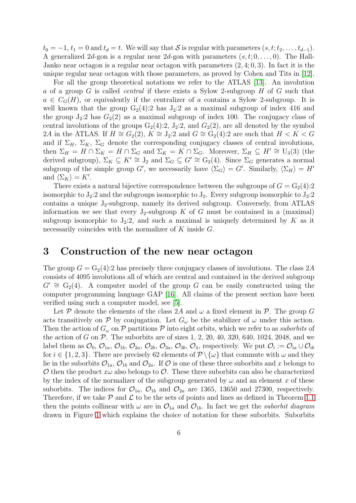$t_0 = -1$ ,  $t_1 = 0$  and  $t_d = t$ . We will say that S is regular with parameters  $(s, t; t_2, \ldots, t_{d-1})$ . A generalized 2d-gon is a regular near 2d-gon with parameters  $(s, t; 0, \ldots, 0)$ . The Hall-Janko near octagon is a regular near octagon with parameters (2, 4; 0, 3). In fact it is the unique regular near octagon with those parameters, as proved by Cohen and Tits in [\[12\]](#page-23-13).

For all the group theoretical notations we refer to the ATLAS [\[13\]](#page-23-4). An involution a of a group G is called *central* if there exists a Sylow 2-subgroup H of G such that  $a \in C_G(H)$ , or equivalently if the centralizer of a contains a Sylow 2-subgroup. It is well known that the group  $G_2(4):2$  has  $J_2:2$  as a maximal subgroup of index 416 and the group  $J_2:2$  has  $G_2(2)$  as a maximal subgroup of index 100. The conjugacy class of central involutions of the groups  $G_2(4):2$ ,  $J_2:2$ , and  $G_2(2)$ , are all denoted by the symbol 2A in the ATLAS. If  $H \cong G_2(2)$ ,  $K \cong J_2:2$  and  $G \cong G_2(4):2$  are such that  $H < K < G$ and if  $\Sigma_H$ ,  $\Sigma_K$ ,  $\Sigma_G$  denote the corresponding conjugacy classes of central involutions, then  $\Sigma_H = H \cap \Sigma_K = H \cap \Sigma_G$  and  $\Sigma_K = K \cap \Sigma_G$ . Moreover,  $\Sigma_H \subseteq H' \cong U_3(3)$  (the derived subgroup),  $\Sigma_K \subseteq K' \cong J_2$  and  $\Sigma_G \subseteq G' \cong G_2(4)$ . Since  $\Sigma_G$  generates a normal subgroup of the simple group G', we necessarily have  $\langle \Sigma_G \rangle = G'$ . Similarly,  $\langle \Sigma_H \rangle = H'$ and  $\langle \Sigma_K \rangle = K'$ .

There exists a natural bijective correspondence between the subgroups of  $G = G_2(4):2$ isomorphic to  $J_2$ :2 and the subgroups isomorphic to  $J_2$ . Every subgroup isomorphic to  $J_2$ :2 contains a unique  $J_2$ -subgroup, namely its derived subgroup. Conversely, from ATLAS information we see that every  $J_2$ -subgroup K of G must be contained in a (maximal) subgroup isomorphic to  $J_2:2$ , and such a maximal is uniquely determined by K as it necessarily coincides with the normalizer of K inside G.

## <span id="page-5-0"></span>3 Construction of the new near octagon

The group  $G = G_2(4):2$  has precisely three conjugacy classes of involutions. The class 2A consists of 4095 involutions all of which are central and contained in the derived subgroup  $G' \cong G_2(4)$ . A computer model of the group G can be easily constructed using the computer programming language GAP [\[16\]](#page-23-14). All claims of the present section have been verified using such a computer model, see [\[5\]](#page-22-7).

Let P denote the elements of the class 2A and  $\omega$  a fixed element in P. The group G acts transitively on P by conjugation. Let  $G_{\omega}$  be the stabilizer of  $\omega$  under this action. Then the action of  $G_{\omega}$  on  $P$  partitions  $P$  into eight orbits, which we refer to as *suborbits* of the action of G on  $P$ . The suborbits are of sizes 1, 2, 20, 40, 320, 640, 1024, 2048, and we label them as  $\mathcal{O}_0$ ,  $\mathcal{O}_{1a}$ ,  $\mathcal{O}_{1b}$ ,  $\mathcal{O}_{2a}$ ,  $\mathcal{O}_{2b}$ ,  $\mathcal{O}_{3a}$ ,  $\mathcal{O}_{3b}$ ,  $\mathcal{O}_4$ , respectively. We put  $\mathcal{O}_i := \mathcal{O}_{ia} \cup \mathcal{O}_{ib}$ for  $i \in \{1, 2, 3\}$ . There are precisely 62 elements of  $\mathcal{P} \setminus \{\omega\}$  that commute with  $\omega$  and they lie in the suborbits  $\mathcal{O}_{1a}$ ,  $\mathcal{O}_{1b}$  and  $\mathcal{O}_{2a}$ . If  $\mathcal O$  is one of these three suborbits and x belongs to O then the product  $x\omega$  also belongs to O. These three suborbits can also be characterized by the index of the normalizer of the subgroup generated by  $\omega$  and an element x of these suborbits. The indices for  $\mathcal{O}_{1a}$ ,  $\mathcal{O}_{1b}$  and  $\mathcal{O}_{2a}$  are 1365, 13650 and 27300, respectively. Therefore, if we take  $P$  and  $\mathcal L$  to be the sets of points and lines as defined in Theorem [1.1](#page-1-0) then the points collinear with  $\omega$  are in  $\mathcal{O}_{1a}$  and  $\mathcal{O}_{1b}$ . In fact we get the *suborbit diagram* drawn in Figure [1](#page-6-0) which explains the choice of notation for these suborbits. Suborbits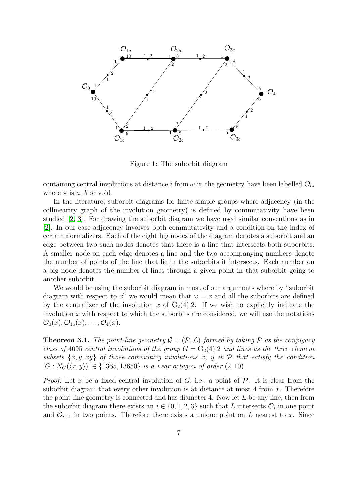

<span id="page-6-0"></span>Figure 1: The suborbit diagram

containing central involutions at distance i from  $\omega$  in the geometry have been labelled  $\mathcal{O}_{i*}$ where  $*$  is  $a, b$  or void.

In the literature, suborbit diagrams for finite simple groups where adjacency (in the collinearity graph of the involution geometry) is defined by commutativity have been studied [\[2,](#page-22-3) [3\]](#page-22-4). For drawing the suborbit diagram we have used similar conventions as in [\[2\]](#page-22-3). In our case adjacency involves both commutativity and a condition on the index of certain normalizers. Each of the eight big nodes of the diagram denotes a suborbit and an edge between two such nodes denotes that there is a line that intersects both suborbits. A smaller node on each edge denotes a line and the two accompanying numbers denote the number of points of the line that lie in the suborbits it intersects. Each number on a big node denotes the number of lines through a given point in that suborbit going to another suborbit.

We would be using the suborbit diagram in most of our arguments where by "suborbit diagram with respect to x" we would mean that  $\omega = x$  and all the suborbits are defined by the centralizer of the involution x of  $G_2(4):2$ . If we wish to explicitly indicate the involution  $x$  with respect to which the suborbits are considered, we will use the notations  $\mathcal{O}_0(x)$ ,  $\mathcal{O}_{1a}(x)$ ,  $\ldots$ ,  $\mathcal{O}_4(x)$ .

**Theorem 3.1.** *The point-line geometry*  $\mathcal{G} = (\mathcal{P}, \mathcal{L})$  *formed by taking*  $\mathcal{P}$  *as the conjugacy class of* 4095 *central involutions of the group*  $G = G_2(4)$ :2 *and lines as the three element subsets*  $\{x, y, xy\}$  *of those commuting involutions* x, y *in*  $P$  *that satisfy the condition*  $[G: N_G(\langle x, y \rangle)] \in \{1365, 13650\}$  *is a near octagon of order*  $(2, 10)$ *.* 

*Proof.* Let x be a fixed central involution of G, i.e., a point of  $P$ . It is clear from the suborbit diagram that every other involution is at distance at most 4 from  $x$ . Therefore the point-line geometry is connected and has diameter 4. Now let  $L$  be any line, then from the suborbit diagram there exists an  $i \in \{0, 1, 2, 3\}$  such that L intersects  $\mathcal{O}_i$  in one point and  $\mathcal{O}_{i+1}$  in two points. Therefore there exists a unique point on L nearest to x. Since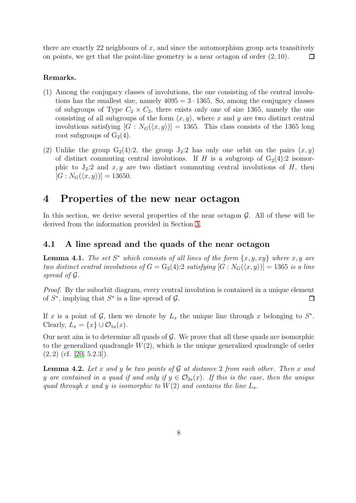there are exactly 22 neighbours of  $x$ , and since the automorphism group acts transitively on points, we get that the point-line geometry is a near octagon of order (2, 10).  $\Box$ 

### Remarks.

- (1) Among the conjugacy classes of involutions, the one consisting of the central involutions has the smallest size, namely  $4095 = 3 \cdot 1365$ . So, among the conjugacy classes of subgroups of Type  $C_2 \times C_2$ , there exists only one of size 1365, namely the one consisting of all subgroups of the form  $\langle x, y \rangle$ , where x and y are two distinct central involutions satisfying  $[G : N_G(\langle x, y \rangle)] = 1365$ . This class consists of the 1365 long root subgroups of  $G_2(4)$ .
- (2) Unlike the group  $G_2(4):2$ , the group  $J_2:2$  has only one orbit on the pairs  $(x, y)$ of distinct commuting central involutions. If H is a subgroup of  $G_2(4):2$  isomorphic to  $J_2:2$  and  $x, y$  are two distinct commuting central involutions of H, then  $[G : N_G(\langle x, y \rangle)] = 13650.$

## <span id="page-7-0"></span>4 Properties of the new near octagon

In this section, we derive several properties of the near octagon  $\mathcal{G}$ . All of these will be derived from the information provided in Section [3.](#page-5-0)

### <span id="page-7-1"></span>4.1 A line spread and the quads of the near octagon

**Lemma 4.1.** The set  $S^*$  which consists of all lines of the form  $\{x, y, xy\}$  where  $x, y$  are *two distinct central involutions of*  $G = G_2(4):2$  *satisfying*  $[G : N_G(\langle x, y \rangle)] = 1365$  *is a line spread of* G*.*

*Proof.* By the suborbit diagram, every central involution is contained in a unique element of  $S^*$ , implying that  $S^*$  is a line spread of  $\mathcal{G}$ .  $\Box$ 

If x is a point of  $\mathcal{G}$ , then we denote by  $L_x$  the unique line through x belonging to  $S^*$ . Clearly,  $L_x = \{x\} \cup \mathcal{O}_{1a}(x)$ .

Our next aim is to determine all quads of  $\mathcal G$ . We prove that all these quads are isomorphic to the generalized quadrangle  $W(2)$ , which is the unique generalized quadrangle of order  $(2, 2)$  (cf. [\[20,](#page-23-15) 5.2.3]).

<span id="page-7-2"></span>Lemma 4.2. *Let* x *and* y *be two points of* G *at distance* 2 *from each other. Then* x *and* y are contained in a quad if and only if  $y \in \mathcal{O}_{2a}(x)$ . If this is the case, then the unique *quad through* x and y *is isomorphic to*  $W(2)$  *and contains the line*  $L_x$ .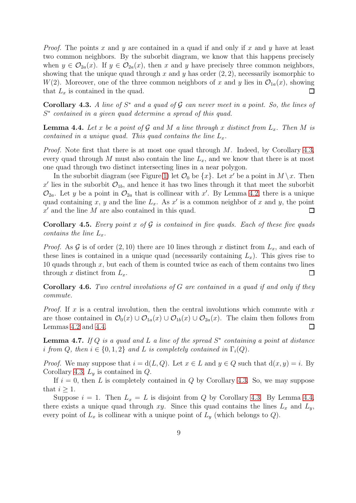*Proof.* The points x and y are contained in a quad if and only if x and y have at least two common neighbors. By the suborbit diagram, we know that this happens precisely when  $y \in \mathcal{O}_{2a}(x)$ . If  $y \in \mathcal{O}_{2a}(x)$ , then x and y have precisely three common neighbors, showing that the unique quad through x and y has order  $(2, 2)$ , necessarily isomorphic to  $W(2)$ . Moreover, one of the three common neighbors of x and y lies in  $\mathcal{O}_{1a}(x)$ , showing that  $L_x$  is contained in the quad. П

<span id="page-8-0"></span>Corollary 4.3. *A line of* S <sup>∗</sup> *and a quad of* G *can never meet in a point. So, the lines of* S ∗ *contained in a given quad determine a spread of this quad.*

<span id="page-8-1"></span>**Lemma 4.4.** Let x be a point of G and M a line through x distinct from  $L_x$ . Then M is *contained in a unique quad. This quad contains the line*  $L_x$ .

*Proof.* Note first that there is at most one quad through M. Indeed, by Corollary [4.3,](#page-8-0) every quad through M must also contain the line  $L_x$ , and we know that there is at most one quad through two distinct intersecting lines in a near polygon.

In the suborbit diagram (see Figure [1\)](#page-6-0) let  $\mathcal{O}_0$  be  $\{x\}$ . Let x' be a point in  $M \setminus x$ . Then x' lies in the suborbit  $\mathcal{O}_{1b}$ , and hence it has two lines through it that meet the suborbit  $\mathcal{O}_{2a}$ . Let y be a point in  $\mathcal{O}_{2a}$  that is collinear with x'. By Lemma [4.2,](#page-7-2) there is a unique quad containing x, y and the line  $L_x$ . As x' is a common neighbor of x and y, the point  $x'$  and the line  $M$  are also contained in this quad.  $\Box$ 

Corollary 4.5. *Every point* x *of* G *is contained in five quads. Each of these five quads contains the line*  $L_x$ .

*Proof.* As  $\mathcal G$  is of order  $(2, 10)$  there are 10 lines through x distinct from  $L_x$ , and each of these lines is contained in a unique quad (necessarily containing  $L<sub>x</sub>$ ). This gives rise to 10 quads through  $x$ , but each of them is counted twice as each of them contains two lines through x distinct from  $L_x$ .  $\Box$ 

Corollary 4.6. *Two central involutions of* G *are contained in a quad if and only if they commute.*

*Proof.* If x is a central involution, then the central involutions which commute with  $x$ are those contained in  $\mathcal{O}_0(x) \cup \mathcal{O}_{1a}(x) \cup \mathcal{O}_{1b}(x) \cup \mathcal{O}_{2a}(x)$ . The claim then follows from Lemmas [4.2](#page-7-2) and [4.4.](#page-8-1) □

<span id="page-8-2"></span>Lemma 4.7. *If* Q *is a quad and* L *a line of the spread* S ∗ *containing a point at distance i* from Q, then  $i \in \{0, 1, 2\}$  and L is completely contained in  $\Gamma_i(Q)$ .

*Proof.* We may suppose that  $i = d(L, Q)$ . Let  $x \in L$  and  $y \in Q$  such that  $d(x, y) = i$ . By Corollary [4.3,](#page-8-0)  $L_y$  is contained in  $Q$ .

If  $i = 0$ , then L is completely contained in Q by Corollary [4.3.](#page-8-0) So, we may suppose that  $i \geq 1$ .

Suppose  $i = 1$ . Then  $L_x = L$  is disjoint from Q by Corollary [4.3.](#page-8-0) By Lemma [4.4,](#page-8-1) there exists a unique quad through xy. Since this quad contains the lines  $L_x$  and  $L_y$ , every point of  $L_x$  is collinear with a unique point of  $L_y$  (which belongs to  $Q$ ).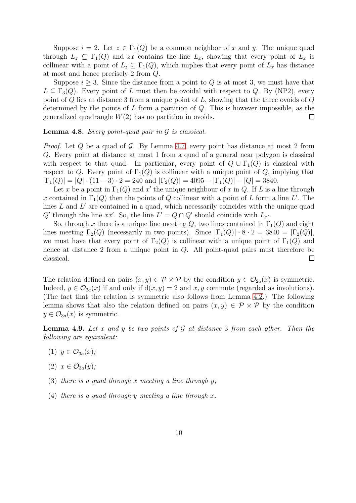Suppose  $i = 2$ . Let  $z \in \Gamma_1(Q)$  be a common neighbor of x and y. The unique quad through  $L_z \subseteq \Gamma_1(Q)$  and zx contains the line  $L_x$ , showing that every point of  $L_x$  is collinear with a point of  $L_z \subseteq \Gamma_1(Q)$ , which implies that every point of  $L_x$  has distance at most and hence precisely 2 from Q.

Suppose  $i \geq 3$ . Since the distance from a point to Q is at most 3, we must have that  $L \subseteq \Gamma_3(Q)$ . Every point of L must then be ovoidal with respect to Q. By (NP2), every point of  $Q$  lies at distance 3 from a unique point of  $L$ , showing that the three ovoids of  $Q$ determined by the points of  $L$  form a partition of  $Q$ . This is however impossible, as the generalized quadrangle  $W(2)$  has no partition in ovoids.  $\Box$ 

#### Lemma 4.8. *Every point-quad pair in* G *is classical.*

*Proof.* Let  $Q$  be a quad of  $G$ . By Lemma [4.7,](#page-8-2) every point has distance at most 2 from Q. Every point at distance at most 1 from a quad of a general near polygon is classical with respect to that quad. In particular, every point of  $Q \cup \Gamma_1(Q)$  is classical with respect to Q. Every point of  $\Gamma_1(Q)$  is collinear with a unique point of Q, implying that  $|\Gamma_1(Q)| = |Q| \cdot (11-3) \cdot 2 = 240$  and  $|\Gamma_2(Q)| = 4095 - |\Gamma_1(Q)| - |Q| = 3840$ .

Let x be a point in  $\Gamma_1(Q)$  and x' the unique neighbour of x in Q. If L is a line through x contained in  $\Gamma_1(Q)$  then the points of Q collinear with a point of L form a line L'. The lines  $L$  and  $L'$  are contained in a quad, which necessarily coincides with the unique quad  $Q'$  through the line  $xx'$ . So, the line  $L' = Q \cap Q'$  should coincide with  $L_{x'}$ .

So, through x there is a unique line meeting Q, two lines contained in  $\Gamma_1(Q)$  and eight lines meeting  $\Gamma_2(Q)$  (necessarily in two points). Since  $|\Gamma_1(Q)| \cdot 8 \cdot 2 = 3840 = |\Gamma_2(Q)|$ , we must have that every point of  $\Gamma_2(Q)$  is collinear with a unique point of  $\Gamma_1(Q)$  and hence at distance 2 from a unique point in Q. All point-quad pairs must therefore be classical.  $\Box$ 

The relation defined on pairs  $(x, y) \in \mathcal{P} \times \mathcal{P}$  by the condition  $y \in \mathcal{O}_{2a}(x)$  is symmetric. Indeed,  $y \in \mathcal{O}_{2a}(x)$  if and only if  $d(x, y) = 2$  and x, y commute (regarded as involutions). (The fact that the relation is symmetric also follows from Lemma [4.2.](#page-7-2)) The following lemma shows that also the relation defined on pairs  $(x, y) \in \mathcal{P} \times \mathcal{P}$  by the condition  $y \in \mathcal{O}_{3a}(x)$  is symmetric.

<span id="page-9-0"></span>Lemma 4.9. *Let* x *and* y *be two points of* G *at distance* 3 *from each other. Then the following are equivalent:*

- (1)  $y \in \mathcal{O}_{3a}(x)$ ;
- (2)  $x \in \mathcal{O}_{3a}(y)$ ;
- (3) *there is a quad through* x *meeting a line through* y*;*
- (4) *there is a quad through* y *meeting a line through* x*.*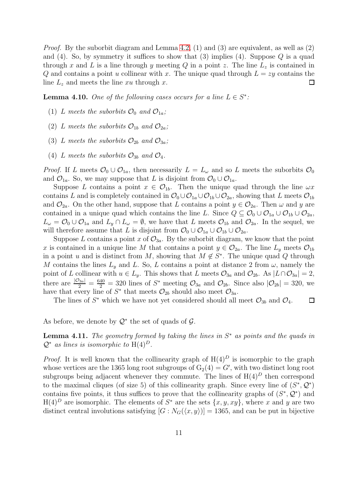*Proof.* By the suborbit diagram and Lemma [4.2,](#page-7-2) (1) and (3) are equivalent, as well as (2) and (4). So, by symmetry it suffices to show that (3) implies (4). Suppose  $Q$  is a quad through x and L is a line through y meeting Q in a point z. The line  $L_z$  is contained in Q and contains a point u collinear with x. The unique quad through  $L = zy$  contains the line  $L_z$  and meets the line xu through x.  $\Box$ 

<span id="page-10-0"></span>**Lemma 4.10.** One of the following cases occurs for a line  $L \in S^*$ :

- (1) L meets the suborbits  $\mathcal{O}_0$  and  $\mathcal{O}_{1a}$ ;
- (2) L meets the suborbits  $\mathcal{O}_{1b}$  and  $\mathcal{O}_{2a}$ ;
- (3) L meets the suborbits  $\mathcal{O}_{2b}$  and  $\mathcal{O}_{3a}$ ;
- (4) L meets the suborbits  $\mathcal{O}_{3b}$  and  $\mathcal{O}_{4}$ .

*Proof.* If L meets  $\mathcal{O}_0 \cup \mathcal{O}_{1a}$ , then necessarily  $L = L_{\omega}$  and so L meets the suborbits  $\mathcal{O}_0$ and  $\mathcal{O}_{1a}$ . So, we may suppose that L is disjoint from  $\mathcal{O}_0 \cup \mathcal{O}_{1a}$ .

Suppose L contains a point  $x \in \mathcal{O}_{1b}$ . Then the unique quad through the line  $\omega x$ contains L and is completely contained in  $\mathcal{O}_0 \cup \mathcal{O}_{1a} \cup \mathcal{O}_{1b} \cup \mathcal{O}_{2a}$ , showing that L meets  $\mathcal{O}_{1b}$ and  $\mathcal{O}_{2a}$ . On the other hand, suppose that L contains a point  $y \in \mathcal{O}_{2a}$ . Then  $\omega$  and y are contained in a unique quad which contains the line L. Since  $Q \subseteq \mathcal{O}_0 \cup \mathcal{O}_{1a} \cup \mathcal{O}_{1b} \cup \mathcal{O}_{2a}$ ,  $L_{\omega} = \mathcal{O}_0 \cup \mathcal{O}_{1a}$  and  $L_y \cap L_{\omega} = \emptyset$ , we have that L meets  $\mathcal{O}_{1b}$  and  $\mathcal{O}_{2a}$ . In the sequel, we will therefore assume that L is disjoint from  $\mathcal{O}_0 \cup \mathcal{O}_{1a} \cup \mathcal{O}_{1b} \cup \mathcal{O}_{2a}$ .

Suppose L contains a point x of  $\mathcal{O}_{3a}$ . By the suborbit diagram, we know that the point x is contained in a unique line M that contains a point  $y \in \mathcal{O}_{2a}$ . The line  $L_y$  meets  $\mathcal{O}_{1b}$ in a point u and is distinct from M, showing that  $M \notin S^*$ . The unique quad Q through M contains the lines  $L_y$  and L. So, L contains a point at distance 2 from  $\omega$ , namely the point of L collinear with  $u \in L_y$ . This shows that L meets  $\mathcal{O}_{3a}$  and  $\mathcal{O}_{2b}$ . As  $|L \cap \mathcal{O}_{3a}| = 2$ , there are  $\frac{|\mathcal{O}_{3a}|}{2} = \frac{640}{2} = 320$  lines of  $S^*$  meeting  $\mathcal{O}_{3a}$  and  $\mathcal{O}_{2b}$ . Since also  $|\mathcal{O}_{2b}| = 320$ , we have that every line of  $S^*$  that meets  $\mathcal{O}_{2b}$  should also meet  $\mathcal{O}_{3a}$ .

The lines of  $S^*$  which we have not yet considered should all meet  $\mathcal{O}_{3b}$  and  $\mathcal{O}_4$ .  $\Box$ 

As before, we denote by  $\mathcal{Q}^*$  the set of quads of  $\mathcal{G}$ .

Lemma 4.11. The geometry formed by taking the lines in  $S^*$  as points and the quads in  $Q^*$  *as lines is isomorphic to*  $H(4)^D$ .

*Proof.* It is well known that the collinearity graph of  $H(4)^D$  is isomorphic to the graph whose vertices are the 1365 long root subgroups of  $G_2(4) = G'$ , with two distinct long root subgroups being adjacent whenever they commute. The lines of  $H(4)^D$  then correspond to the maximal cliques (of size 5) of this collinearity graph. Since every line of  $(S^*, Q^*)$ contains five points, it thus suffices to prove that the collinearity graphs of  $(S^*, \mathcal{Q}^*)$  and  $H(4)^D$  are isomorphic. The elements of  $S^*$  are the sets  $\{x, y, xy\}$ , where x and y are two distinct central involutions satisfying  $[G : N_G(\langle x, y \rangle)] = 1365$ , and can be put in bijective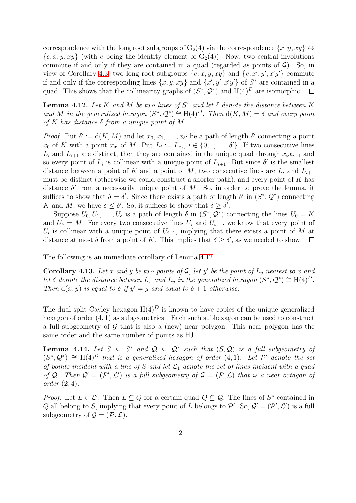correspondence with the long root subgroups of  $G_2(4)$  via the correspondence  $\{x, y, xy\} \leftrightarrow$  ${e, x, y, xy}$  (with e being the identity element of  $G_2(4)$ ). Now, two central involutions commute if and only if they are contained in a quad (regarded as points of  $\mathcal{G}$ ). So, in view of Corollary [4.3,](#page-8-0) two long root subgroups  $\{e, x, y, xy\}$  and  $\{e, x', y', x'y'\}$  commute if and only if the corresponding lines  $\{x, y, xy\}$  and  $\{x', y', x'y'\}$  of  $S^*$  are contained in a quad. This shows that the collinearity graphs of  $(S^*, \mathcal{Q}^*)$  and  $H(4)^D$  are isomorphic.  $\Box$ 

<span id="page-11-0"></span>Lemma 4.12. *Let* K *and* M *be two lines of* S <sup>∗</sup> *and let* δ *denote the distance between* K and M in the generalized hexagon  $(S^*, \mathcal{Q}^*) \cong H(4)^D$ . Then  $d(K, M) = \delta$  and every point *of* K *has distance* δ *from a unique point of* M*.*

*Proof.* Put  $\delta' := d(K, M)$  and let  $x_0, x_1, \ldots, x_{\delta'}$  be a path of length  $\delta'$  connecting a point  $x_0$  of K with a point  $x_{\delta'}$  of M. Put  $L_i := L_{x_i}$ ,  $i \in \{0, 1, \ldots, \delta'\}$ . If two consecutive lines  $L_i$  and  $L_{i+1}$  are distinct, then they are contained in the unique quad through  $x_i x_{i+1}$  and so every point of  $L_i$  is collinear with a unique point of  $L_{i+1}$ . But since  $\delta'$  is the smallest distance between a point of K and a point of M, two consecutive lines are  $L_i$  and  $L_{i+1}$ must be distinct (otherwise we could construct a shorter path), and every point of  $K$  has distance  $\delta'$  from a necessarily unique point of M. So, in order to prove the lemma, it suffices to show that  $\delta = \delta'$ . Since there exists a path of length  $\delta'$  in  $(S^*, \mathcal{Q}^*)$  connecting K and M, we have  $\delta \leq \delta'$ . So, it suffices to show that  $\delta \geq \delta'$ .

Suppose  $U_0, U_1, \ldots, U_{\delta}$  is a path of length  $\delta$  in  $(S^*, \mathcal{Q}^*)$  connecting the lines  $U_0 = K$ and  $U_{\delta} = M$ . For every two consecutive lines  $U_i$  and  $U_{i+1}$ , we know that every point of  $U_i$  is collinear with a unique point of  $U_{i+1}$ , implying that there exists a point of M at distance at most  $\delta$  from a point of K. This implies that  $\delta \geq \delta'$ , as we needed to show.

The following is an immediate corollary of Lemma [4.12.](#page-11-0)

<span id="page-11-1"></span>**Corollary 4.13.** Let x and y be two points of  $\mathcal{G}$ , let y' be the point of  $L_y$  nearest to x and *let*  $\delta$  *denote the distance between*  $L_x$  *and*  $L_y$  *in the generalized hexagon*  $(S^*, \mathcal{Q}^*) \cong H(4)^D$ *. Then*  $d(x, y)$  *is equal to*  $\delta$  *if*  $y' = y$  *and equal to*  $\delta + 1$  *otherwise.* 

The dual split Cayley hexagon  $H(4)^D$  is known to have copies of the unique generalized hexagon of order  $(4, 1)$  as subgeometries. Each such subhexagon can be used to construct a full subgeometry of  $\mathcal G$  that is also a (new) near polygon. This near polygon has the same order and the same number of points as HJ.

**Lemma 4.14.** Let  $S \subseteq S^*$  and  $\mathcal{Q} \subseteq \mathcal{Q}^*$  such that  $(S, \mathcal{Q})$  is a full subgeometry of  $(S^*, \mathcal{Q}^*) \cong H(4)^D$  *that is a generalized hexagon of order*  $(4, 1)$ *. Let*  $\mathcal{P}'$  *denote the set of points incident with a line of* S and let  $\mathcal{L}_1$  denote the set of lines incident with a quad of Q. Then  $\mathcal{G}' = (\mathcal{P}', \mathcal{L}')$  *is a full subgeometry of*  $\mathcal{G} = (\mathcal{P}, \mathcal{L})$  *that is a near octagon of order* (2, 4)*.*

*Proof.* Let  $L \in \mathcal{L}'$ . Then  $L \subseteq Q$  for a certain quad  $Q \subseteq Q$ . The lines of  $S^*$  contained in Q all belong to S, implying that every point of L belongs to P'. So,  $\mathcal{G}' = (\mathcal{P}', \mathcal{L}')$  is a full subgeometry of  $\mathcal{G} = (\mathcal{P}, \mathcal{L})$ .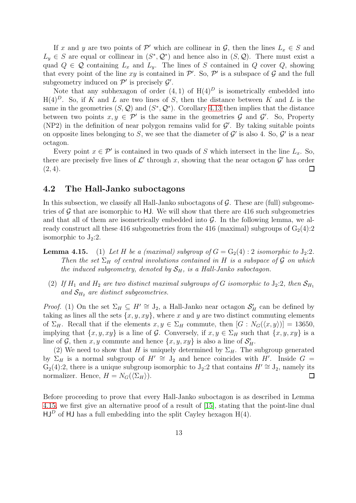If x and y are two points of  $\mathcal{P}'$  which are collinear in  $\mathcal{G}$ , then the lines  $L_x \in S$  and  $L_y \in S$  are equal or collinear in  $(S^*, \mathcal{Q}^*)$  and hence also in  $(S, \mathcal{Q})$ . There must exist a quad  $Q \in \mathcal{Q}$  containing  $L_x$  and  $L_y$ . The lines of S contained in Q cover Q, showing that every point of the line xy is contained in  $\mathcal{P}'$ . So,  $\mathcal{P}'$  is a subspace of  $\mathcal G$  and the full subgeometry induced on  $\mathcal{P}'$  is precisely  $\mathcal{G}'$ .

Note that any subhexagon of order  $(4, 1)$  of  $H(4)<sup>D</sup>$  is isometrically embedded into  $H(4)^D$ . So, if K and L are two lines of S, then the distance between K and L is the same in the geometries  $(S, \mathcal{Q})$  and  $(S^*, \mathcal{Q}^*)$ . Corollary [4.13](#page-11-1) then implies that the distance between two points  $x, y \in \mathcal{P}'$  is the same in the geometries  $\mathcal G$  and  $\mathcal G'$ . So, Property (NP2) in the definition of near polygon remains valid for  $\mathcal{G}'$ . By taking suitable points on opposite lines belonging to S, we see that the diameter of  $\mathcal{G}'$  is also 4. So,  $\mathcal{G}'$  is a near octagon.

Every point  $x \in \mathcal{P}'$  is contained in two quads of S which intersect in the line  $L_x$ . So, there are precisely five lines of  $\mathcal{L}'$  through x, showing that the near octagon  $\mathcal{G}'$  has order  $(2, 4)$ .  $\Box$ 

### <span id="page-12-0"></span>4.2 The Hall-Janko suboctagons

In this subsection, we classify all Hall-Janko suboctagons of  $\mathcal G$ . These are (full) subgeometries of  $\mathcal G$  that are isomorphic to HJ. We will show that there are 416 such subgeometries and that all of them are isometrically embedded into  $G$ . In the following lemma, we already construct all these 416 subgeometries from the 416 (maximal) subgroups of  $G_2(4):2$ isomorphic to  $J_2:2$ .

- **Lemma 4.15.** (1) Let H be a (maximal) subgroup of  $G = G_2(4)$ : 2 *isomorphic to*  $J_2:2$ *. Then the set*  $\Sigma_H$  *of central involutions contained in* H *is a subspace of* G *on which the induced subgeometry, denoted by*  $S_H$ *, is a Hall-Janko suboctagon.* 
	- (2) If  $H_1$  and  $H_2$  are two distinct maximal subgroups of G isomorphic to  $J_2:2$ , then  $S_{H_1}$ and  $S_{H_2}$  are distinct subgeometries.

*Proof.* (1) On the set  $\Sigma_H \subseteq H' \cong J_2$ , a Hall-Janko near octagon  $S'_H$  can be defined by taking as lines all the sets  $\{x, y, xy\}$ , where x and y are two distinct commuting elements of  $\Sigma_H$ . Recall that if the elements  $x, y \in \Sigma_H$  commute, then  $[G: N_G(\langle x, y \rangle)] = 13650$ , implying that  $\{x, y, xy\}$  is a line of G. Conversely, if  $x, y \in \Sigma_H$  such that  $\{x, y, xy\}$  is a line of  $\mathcal{G}$ , then  $x, y$  commute and hence  $\{x, y, xy\}$  is also a line of  $\mathcal{S}'_H$ .

(2) We need to show that H is uniquely determined by  $\Sigma_H$ . The subgroup generated by  $\Sigma_H$  is a normal subgroup of  $H' \cong J_2$  and hence coincides with  $H'$ . Inside  $G =$  $G_2(4):2$ , there is a unique subgroup isomorphic to  $J_2:2$  that contains  $H' \cong J_2$ , namely its normalizer. Hence,  $H = N_G(\langle \Sigma_H \rangle)$ .  $\Box$ 

Before proceeding to prove that every Hall-Janko suboctagon is as described in Lemma 4.15, we first give an alternative proof of a result of [\[15\]](#page-23-8), stating that the point-line dual  $HJ<sup>D</sup>$  of HJ has a full embedding into the split Cayley hexagon  $H(4)$ .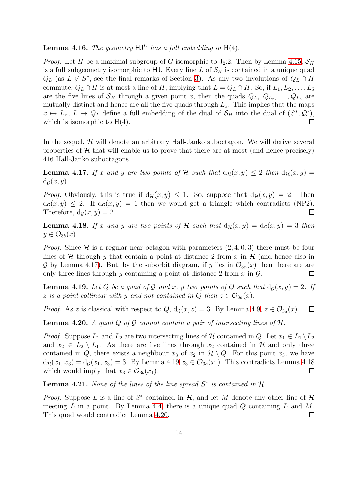## <span id="page-13-0"></span>**Lemma 4.16.** *The geometry*  $HJ^D$  *has a full embedding in*  $H(4)$ *.*

*Proof.* Let H be a maximal subgroup of G isomorphic to  $J_2:2$ . Then by Lemma 4.15,  $S_H$ is a full subgeometry isomorphic to HJ. Every line L of  $S_H$  is contained in a unique quad  $Q_L$  (as  $L \notin S^*$ , see the final remarks of Section [3\)](#page-5-0). As any two involutions of  $Q_L \cap H$ commute,  $Q_L \cap H$  is at most a line of H, implying that  $L = Q_L \cap H$ . So, if  $L_1, L_2, \ldots, L_5$ are the five lines of  $\mathcal{S}_H$  through a given point x, then the quads  $Q_{L_1}, Q_{L_2}, \ldots, Q_{L_5}$  are mutually distinct and hence are all the five quads through  $L<sub>x</sub>$ . This implies that the maps  $x \mapsto L_x, L \mapsto Q_L$  define a full embedding of the dual of  $S_H$  into the dual of  $(S^*, \mathcal{Q}^*),$ which is isomorphic to  $H(4)$ .  $\Box$ 

In the sequel,  $H$  will denote an arbitrary Hall-Janko suboctagon. We will derive several properties of  $H$  that will enable us to prove that there are at most (and hence precisely) 416 Hall-Janko suboctagons.

<span id="page-13-1"></span>**Lemma 4.17.** If x and y are two points of H such that  $d_{\mathcal{H}}(x, y) \leq 2$  then  $d_{\mathcal{H}}(x, y) =$  $d_{\mathcal{G}}(x, y)$ .

*Proof.* Obviously, this is true if  $d_{\mathcal{H}}(x, y) \leq 1$ . So, suppose that  $d_{\mathcal{H}}(x, y) = 2$ . Then  $d_G(x, y) \leq 2$ . If  $d_G(x, y) = 1$  then we would get a triangle which contradicts (NP2). Therefore,  $d_G(x, y) = 2$ .  $\Box$ 

<span id="page-13-3"></span>**Lemma 4.18.** If x and y are two points of H such that  $d_{\mathcal{H}}(x, y) = d_{\mathcal{G}}(x, y) = 3$  then  $y \in \mathcal{O}_{3b}(x)$ .

*Proof.* Since  $\mathcal{H}$  is a regular near octagon with parameters  $(2, 4; 0, 3)$  there must be four lines of H through y that contain a point at distance 2 from x in  $H$  (and hence also in G by Lemma [4.17\)](#page-13-1). But, by the suborbit diagram, if y lies in  $\mathcal{O}_{3a}(x)$  then there are are only three lines through y containing a point at distance 2 from  $x$  in  $\mathcal{G}$ .  $\Box$ 

<span id="page-13-2"></span>**Lemma 4.19.** Let Q be a quad of G and x, y two points of Q such that  $d_G(x, y) = 2$ . If z *is a point collinear with* y and not contained in Q then  $z \in \mathcal{O}_{3a}(x)$ .

*Proof.* As z is classical with respect to Q,  $d_g(x, z) = 3$ . By Lemma [4.9,](#page-9-0)  $z \in \mathcal{O}_{3a}(x)$ .  $\Box$ 

<span id="page-13-4"></span>**Lemma 4.20.** A quad  $Q$  of  $G$  cannot contain a pair of intersecting lines of  $H$ .

*Proof.* Suppose  $L_1$  and  $L_2$  are two intersecting lines of  $H$  contained in Q. Let  $x_1 \in L_1 \setminus L_2$ and  $x_2 \in L_2 \setminus L_1$ . As there are five lines through  $x_2$  contained in H and only three contained in Q, there exists a neighbour  $x_3$  of  $x_2$  in  $\mathcal{H} \setminus Q$ . For this point  $x_3$ , we have  $d_{\mathcal{H}}(x_1, x_3) = d_{\mathcal{G}}(x_1, x_3) = 3$ . By Lemma [4.19](#page-13-2)  $x_3 \in \mathcal{O}_{3a}(x_1)$ . This contradicts Lemma [4.18](#page-13-3) which would imply that  $x_3 \in \mathcal{O}_{3b}(x_1)$ .  $\Box$ 

<span id="page-13-5"></span>**Lemma 4.21.** None of the lines of the line spread  $S^*$  is contained in  $H$ .

*Proof.* Suppose L is a line of  $S^*$  contained in  $H$ , and let M denote any other line of  $H$ meeting  $L$  in a point. By Lemma [4.4,](#page-8-1) there is a unique quad  $Q$  containing  $L$  and  $M$ . This quad would contradict Lemma [4.20.](#page-13-4)  $\Box$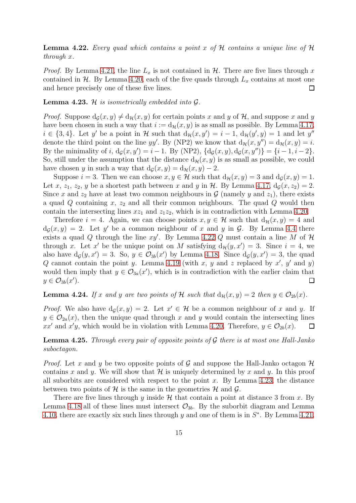<span id="page-14-0"></span>Lemma 4.22. *Every quad which contains a point* x *of* H *contains a unique line of* H *through* x*.*

*Proof.* By Lemma [4.21,](#page-13-5) the line  $L_x$  is not contained in  $H$ . There are five lines through x contained in  $H$ . By Lemma [4.20,](#page-13-4) each of the five quads through  $L_x$  contains at most one and hence precisely one of these five lines.  $\Box$ 

#### <span id="page-14-1"></span>Lemma 4.23. H *is isometrically embedded into* G*.*

*Proof.* Suppose  $d_G(x, y) \neq d_H(x, y)$  for certain points x and y of H, and suppose x and y have been chosen in such a way that  $i := d_{\mathcal{H}}(x, y)$  is as small as possible. By Lemma [4.17,](#page-13-1)  $i \in \{3, 4\}$ . Let y' be a point in H such that  $d_{\mathcal{H}}(x, y') = i - 1$ ,  $d_{\mathcal{H}}(y', y) = 1$  and let y'' denote the third point on the line yy'. By (NP2) we know that  $d_{\mathcal{H}}(x, y'') = d_{\mathcal{H}}(x, y) = i$ . By the minimality of i,  $d_g(x, y') = i - 1$ . By (NP2),  $\{d_g(x, y), d_g(x, y'')\} = \{i - 1, i - 2\}$ . So, still under the assumption that the distance  $d_{\mathcal{H}}(x, y)$  is as small as possible, we could have chosen y in such a way that  $d_G(x, y) = d_{\mathcal{H}}(x, y) - 2$ .

Suppose  $i = 3$ . Then we can choose  $x, y \in \mathcal{H}$  such that  $d_{\mathcal{H}}(x, y) = 3$  and  $d_{\mathcal{G}}(x, y) = 1$ . Let x, z<sub>1</sub>, z<sub>2</sub>, y be a shortest path between x and y in H. By Lemma [4.17,](#page-13-1)  $d<sub>G</sub>(x, z<sub>2</sub>) = 2$ . Since x and  $z_2$  have at least two common neighbours in  $\mathcal G$  (namely y and  $z_1$ ), there exists a quad  $Q$  containing  $x$ ,  $z_2$  and all their common neighbours. The quad  $Q$  would then contain the intersecting lines  $xz_1$  and  $z_1z_2$ , which is in contradiction with Lemma [4.20.](#page-13-4)

Therefore  $i = 4$ . Again, we can choose points  $x, y \in \mathcal{H}$  such that  $d_{\mathcal{H}}(x, y) = 4$  and  $d_{\mathcal{G}}(x,y) = 2$ . Let y' be a common neighbour of x and y in G. By Lemma [4.4](#page-8-1) there exists a quad Q through the line  $xy'$ . By Lemma [4.22](#page-14-0) Q must contain a line M of  $\mathcal H$ through x. Let x' be the unique point on M satisfying  $d_{\mathcal{H}}(y, x') = 3$ . Since  $i = 4$ , we also have  $d_g(y, x') = 3$ . So,  $y \in \mathcal{O}_{3b}(x')$  by Lemma [4.18.](#page-13-3) Since  $d_g(y, x') = 3$ , the quad Q cannot contain the point y. Lemma [4.19](#page-13-2) (with x, y and z replaced by  $x'$ , y' and y) would then imply that  $y \in \mathcal{O}_{3a}(x')$ , which is in contradiction with the earlier claim that  $y \in \mathcal{O}_{3b}(x')$ .  $\Box$ 

<span id="page-14-2"></span>**Lemma 4.24.** If x and y are two points of H such that  $d_{\mathcal{H}}(x, y) = 2$  then  $y \in \mathcal{O}_{2b}(x)$ .

*Proof.* We also have  $d_g(x, y) = 2$ . Let  $x' \in \mathcal{H}$  be a common neighbour of x and y. If  $y \in \mathcal{O}_{2a}(x)$ , then the unique quad through x and y would contain the intersecting lines xx' and x'y, which would be in violation with Lemma [4.20.](#page-13-4) Therefore,  $y \in \mathcal{O}_{2b}(x)$ .  $\Box$ 

<span id="page-14-3"></span>Lemma 4.25. *Through every pair of opposite points of* G *there is at most one Hall-Janko suboctagon.*

*Proof.* Let x and y be two opposite points of G and suppose the Hall-Janko octagon  $\mathcal{H}$ contains x and y. We will show that  $\mathcal H$  is uniquely determined by x and y. In this proof all suborbits are considered with respect to the point  $x$ . By Lemma [4.23,](#page-14-1) the distance between two points of  $\mathcal H$  is the same in the geometries  $\mathcal H$  and  $\mathcal G$ .

There are five lines through y inside  $H$  that contain a point at distance 3 from x. By Lemma [4.18](#page-13-3) all of these lines must intersect  $\mathcal{O}_{3b}$ . By the suborbit diagram and Lemma [4.10,](#page-10-0) there are exactly six such lines through y and one of them is in  $S^*$ . By Lemma [4.21,](#page-13-5)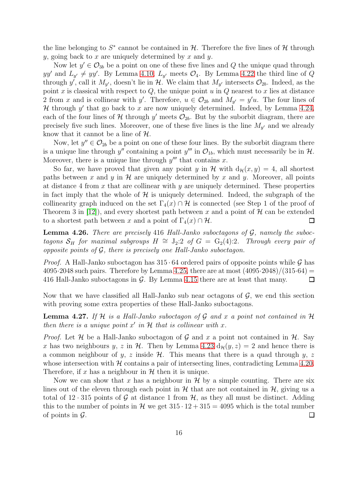the line belonging to  $S^*$  cannot be contained in  $H$ . Therefore the five lines of  $H$  through y, going back to x are uniquely determined by x and y.

Now let  $y' \in \mathcal{O}_{3b}$  be a point on one of these five lines and Q the unique quad through yy' and  $L_{y'} \neq yy'$ . By Lemma [4.10,](#page-10-0)  $L_{y'}$  meets  $\mathcal{O}_4$ . By Lemma [4.22](#page-14-0) the third line of Q through y', call it  $M_{y'}$ , doesn't lie in  $H$ . We claim that  $M_{y'}$  intersects  $\mathcal{O}_{2b}$ . Indeed, as the point x is classical with respect to  $Q$ , the unique point  $u$  in  $Q$  nearest to x lies at distance 2 from x and is collinear with y'. Therefore,  $u \in \mathcal{O}_{2b}$  and  $M_{y'} = y'u$ . The four lines of  $H$  through  $y'$  that go back to x are now uniquely determined. Indeed, by Lemma [4.24,](#page-14-2) each of the four lines of  $\mathcal H$  through  $y'$  meets  $\mathcal O_{2b}$ . But by the suborbit diagram, there are precisely five such lines. Moreover, one of these five lines is the line  $M_{y'}$  and we already know that it cannot be a line of  $H$ .

Now, let  $y'' \in \mathcal{O}_{2b}$  be a point on one of these four lines. By the suborbit diagram there is a unique line through  $y''$  containing a point  $y'''$  in  $\mathcal{O}_{1b}$ , which must necessarily be in  $\mathcal{H}$ . Moreover, there is a unique line through  $y'''$  that contains x.

So far, we have proved that given any point y in H with  $d_{\mathcal{H}}(x, y) = 4$ , all shortest paths between x and y in  $\mathcal H$  are uniquely determined by x and y. Moreover, all points at distance 4 from x that are collinear with  $y$  are uniquely determined. These properties in fact imply that the whole of  $H$  is uniquely determined. Indeed, the subgraph of the collinearity graph induced on the set  $\Gamma_4(x) \cap H$  is connected (see Step 1 of the proof of Theorem 3 in [\[12\]](#page-23-13)), and every shortest path between x and a point of  $\mathcal H$  can be extended to a shortest path between x and a point of  $\Gamma_4(x) \cap \mathcal{H}$ .  $\Box$ 

<span id="page-15-1"></span>Lemma 4.26. *There are precisely* 416 *Hall-Janko suboctagons of* G*, namely the suboctagons*  $S_H$  *for maximal subgroups*  $H \cong J_2:2$  *of*  $G = G_2(4):2$ *. Through every pair of opposite points of* G*, there is precisely one Hall-Janko suboctagon.*

*Proof.* A Hall-Janko suboctagon has  $315 \cdot 64$  ordered pairs of opposite points while G has 4095·2048 such pairs. Therefore by Lemma [4.25,](#page-14-3) there are at most  $(4095.2048)/(315.64)$  = 416 Hall-Janko suboctagons in G. By Lemma 4.15 there are at least that many.  $\Box$ 

Now that we have classified all Hall-Janko sub near octagons of  $\mathcal{G}$ , we end this section with proving some extra properties of these Hall-Janko suboctagons.

<span id="page-15-0"></span>Lemma 4.27. *If* H *is a Hall-Janko suboctagon of* G *and* x *a point not contained in* H *then there is a unique point*  $x'$  *in*  $H$  *that is collinear with*  $x$ *.* 

*Proof.* Let  $\mathcal H$  be a Hall-Janko suboctagon of  $\mathcal G$  and  $x$  a point not contained in  $\mathcal H$ . Say x has two neighbours y, z in H. Then by Lemma [4.23](#page-14-1)  $d_{\mathcal{H}}(y, z) = 2$  and hence there is a common neighbour of y, z inside  $H$ . This means that there is a quad through y, z whose intersection with  $H$  contains a pair of intersecting lines, contradicting Lemma [4.20.](#page-13-4) Therefore, if x has a neighbour in  $H$  then it is unique.

Now we can show that x has a neighbour in  $\mathcal H$  by a simple counting. There are six lines out of the eleven through each point in  $H$  that are not contained in  $H$ , giving us a total of 12 · 315 points of G at distance 1 from  $H$ , as they all must be distinct. Adding this to the number of points in H we get  $315 \cdot 12 + 315 = 4095$  which is the total number of points in  $\mathcal G$ .  $\Box$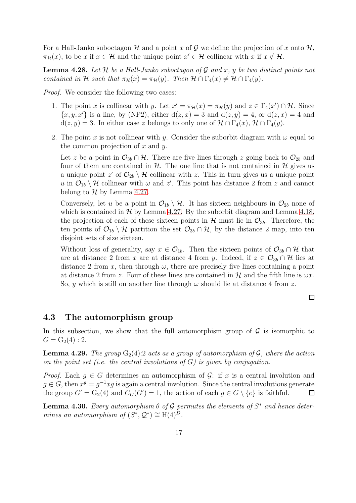For a Hall-Janko suboctagon  $\mathcal H$  and a point x of  $\mathcal G$  we define the projection of x onto  $\mathcal H$ ,  $\pi_{\mathcal{H}}(x)$ , to be x if  $x \in \mathcal{H}$  and the unique point  $x' \in \mathcal{H}$  collinear with x if  $x \notin \mathcal{H}$ .

<span id="page-16-3"></span>Lemma 4.28. *Let* H *be a Hall-Janko suboctagon of* G *and* x*,* y *be two distinct points not contained in* H *such that*  $\pi_{\mathcal{H}}(x) = \pi_{\mathcal{H}}(y)$ *. Then*  $\mathcal{H} \cap \Gamma_4(x) \neq \mathcal{H} \cap \Gamma_4(y)$ *.* 

*Proof.* We consider the following two cases:

- 1. The point x is collinear with y. Let  $x' = \pi_{\mathcal{H}}(x) = \pi_{\mathcal{H}}(y)$  and  $z \in \Gamma_4(x') \cap \mathcal{H}$ . Since  $\{x, y, x'\}$  is a line, by (NP2), either  $d(z, x) = 3$  and  $d(z, y) = 4$ , or  $d(z, x) = 4$  and  $d(z, y) = 3$ . In either case z belongs to only one of  $\mathcal{H} \cap \Gamma_4(x)$ ,  $\mathcal{H} \cap \Gamma_4(y)$ .
- 2. The point x is not collinear with y. Consider the suborbit diagram with  $\omega$  equal to the common projection of  $x$  and  $y$ .

Let z be a point in  $\mathcal{O}_{3b} \cap \mathcal{H}$ . There are five lines through z going back to  $\mathcal{O}_{2b}$  and four of them are contained in  $H$ . The one line that is not contained in  $H$  gives us a unique point  $z'$  of  $\mathcal{O}_{2b} \setminus \mathcal{H}$  collinear with z. This in turn gives us a unique point u in  $\mathcal{O}_{1b} \setminus \mathcal{H}$  collinear with  $\omega$  and  $z'$ . This point has distance 2 from z and cannot belong to  $H$  by Lemma [4.27.](#page-15-0)

Conversely, let u be a point in  $\mathcal{O}_{1b} \setminus \mathcal{H}$ . It has sixteen neighbours in  $\mathcal{O}_{2b}$  none of which is contained in  $H$  by Lemma [4.27.](#page-15-0) By the suborbit diagram and Lemma [4.18,](#page-13-3) the projection of each of these sixteen points in  $\mathcal{H}$  must lie in  $\mathcal{O}_{3b}$ . Therefore, the ten points of  $\mathcal{O}_{1b} \setminus \mathcal{H}$  partition the set  $\mathcal{O}_{3b} \cap \mathcal{H}$ , by the distance 2 map, into ten disjoint sets of size sixteen.

Without loss of generality, say  $x \in \mathcal{O}_{1b}$ . Then the sixteen points of  $\mathcal{O}_{3b} \cap \mathcal{H}$  that are at distance 2 from x are at distance 4 from y. Indeed, if  $z \in \mathcal{O}_{3b} \cap \mathcal{H}$  lies at distance 2 from x, then through  $\omega$ , there are precisely five lines containing a point at distance 2 from z. Four of these lines are contained in H and the fifth line is  $\omega x$ . So, y which is still on another line through  $\omega$  should lie at distance 4 from z.

 $\Box$ 

### <span id="page-16-0"></span>4.3 The automorphism group

In this subsection, we show that the full automorphism group of  $\mathcal G$  is isomorphic to  $G = G_2(4) : 2.$ 

<span id="page-16-2"></span>**Lemma 4.29.** *The group*  $G_2(4)$ :2 *acts as a group of automorphism of G, where the action on the point set (i.e. the central involutions of* G*) is given by conjugation.*

*Proof.* Each  $g \in G$  determines an automorphism of  $\mathcal{G}$ : if x is a central involution and  $g \in G$ , then  $x^g = g^{-1}xg$  is again a central involution. Since the central involutions generate the group  $G' = G_2(4)$  and  $C_G(G') = 1$ , the action of each  $g \in G \setminus \{e\}$  is faithful.  $\Box$ 

<span id="page-16-1"></span>**Lemma 4.30.** *Every automorphism*  $\theta$  *of*  $\mathcal{G}$  *permutes the elements of*  $S^*$  *and hence determines an automorphism of*  $(S^*, \mathcal{Q}^*) \cong H(4)^D$ .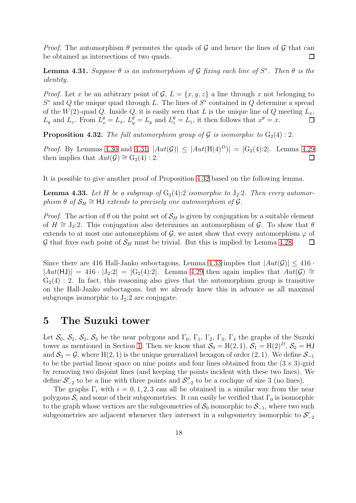*Proof.* The automorphism  $\theta$  permutes the quads of G and hence the lines of G that can be obtained as intersections of two quads.  $\Box$ 

<span id="page-17-1"></span>**Lemma 4.31.** Suppose  $\theta$  is an automorphism of  $\mathcal{G}$  fixing each line of  $S^*$ . Then  $\theta$  is the *identity.*

*Proof.* Let x be an arbitrary point of  $\mathcal{G}, L = \{x, y, z\}$  a line through x not belonging to  $S^*$  and Q the unique quad through L. The lines of  $S^*$  contained in Q determine a spread of the  $W(2)$ -quad Q. Inside Q, it is easily seen that L is the unique line of Q meeting  $L_x$ ,  $L_y$  and  $L_z$ . From  $L_x^{\theta} = L_x$ ,  $L_y^{\theta} = L_y$  and  $L_z^{\theta} = L_z$ , it then follows that  $x^{\theta} = x$ .  $\Box$ 

<span id="page-17-2"></span>**Proposition 4.32.** *The full automorphism group of*  $\mathcal G$  *is isomorphic to*  $G_2(4)$  : 2*.* 

*Proof.* By Lemmas [4.30](#page-16-1) and [4.31,](#page-17-1)  $|Aut(\mathcal{G})| \leq |Aut(H(4)^{D})| = |G_2(4):2|$ . Lemma [4.29](#page-16-2) then implies that  $Aut(\mathcal{G}) \cong G_2(4):2$ .  $\Box$ 

It is possible to give another proof of Proposition [4.32](#page-17-2) based on the following lemma.

<span id="page-17-3"></span>**Lemma 4.33.** Let H be a subgroup of  $G_2(4):2$  isomorphic to  $J_2:2$ . Then every automor $phism \theta$  of  $S_H \cong HJ$  *extends to precisely one automorphism of*  $G$ *.* 

*Proof.* The action of  $\theta$  on the point set of  $\mathcal{S}_H$  is given by conjugation by a suitable element of  $H \cong J_2:2$ . This conjugation also determines an automorphism of  $\mathcal{G}$ . To show that  $\theta$ extends to at most one automorphism of  $\mathcal{G}$ , we must show that every automorphism  $\varphi$  of G that fixes each point of  $\mathcal{S}_H$  must be trivial. But this is implied by Lemma [4.28.](#page-16-3)  $\Box$ 

Since there are 416 Hall-Janko suboctagons, Lemma [4.33](#page-17-3) implies that  $|Aut(\mathcal{G})| \leq 416$ .  $|Aut(HJ)| = 416 \cdot |J_2:2| = |G_2(4):2|$ . Lemma [4.29](#page-16-2) then again implies that  $Aut(\mathcal{G}) \cong$  $G_2(4)$ : 2. In fact, this reasoning also gives that the automorphism group is transitive on the Hall-Janko suboctagons, but we already knew this in advance as all maximal subgroups isomorphic to  $J_2:2$  are conjugate.

## <span id="page-17-0"></span>5 The Suzuki tower

Let  $\mathcal{S}_0$ ,  $\mathcal{S}_1$ ,  $\mathcal{S}_2$ ,  $\mathcal{S}_3$  be the near polygons and  $\Gamma_0$ ,  $\Gamma_1$ ,  $\Gamma_2$ ,  $\Gamma_3$ ,  $\Gamma_4$  the graphs of the Suzuki tower as mentioned in Section [1.](#page-0-0) Then we know that  $S_0 = H(2,1), S_1 = H(2)^D, S_2 = HJ$ and  $S_3 = \mathcal{G}$ , where H(2, 1) is the unique generalized hexagon of order (2, 1). We define  $\mathcal{S}_{-1}$ to be the partial linear space on nine points and four lines obtained from the  $(3 \times 3)$ -grid by removing two disjoint lines (and keeping the points incident with these two lines). We define  $S'_{-2}$  to be a line with three points and  $S''_{-2}$  to be a coclique of size 3 (no lines).

The graphs  $\Gamma_i$  with  $i = 0, 1, 2, 3$  can all be obtained in a similar way from the near polygons  $S_i$  and some of their subgeometries. It can easily be verified that  $\Gamma_0$  is isomorphic to the graph whose vertices are the subgeometries of  $S_0$  isomorphic to  $S_{-1}$ , where two such subgeometries are adjacent whenever they intersect in a subgeometry isomorphic to  $\mathcal{S}_{-2}'$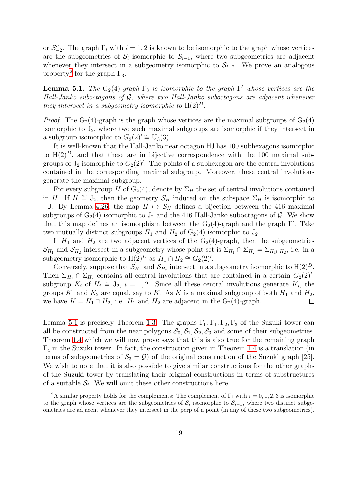or  $\mathcal{S}_{-2}''$ . The graph  $\Gamma_i$  with  $i = 1, 2$  is known to be isomorphic to the graph whose vertices are the subgeometries of  $S_i$  isomorphic to  $S_{i-1}$ , where two subgeometries are adjacent whenever they intersect in a subgeometry isomorphic to  $S_{i-2}$ . We prove an analogous property<sup>[2](#page-18-0)</sup> for the graph  $\Gamma_3$ .

<span id="page-18-1"></span>**Lemma 5.1.** *The*  $G_2(4)$ -graph  $\Gamma_3$  *is isomorphic to the graph*  $\Gamma'$  *whose vertices are the Hall-Janko suboctagons of* G*, where two Hall-Janko suboctagons are adjacent whenever they intersect in a subgeometry isomorphic to*  $H(2)^D$ .

*Proof.* The  $G_2(4)$ -graph is the graph whose vertices are the maximal subgroups of  $G_2(4)$ isomorphic to  $J_2$ , where two such maximal subgroups are isomorphic if they intersect in a subgroup isomorphic to  $G_2(2) \cong U_3(3)$ .

It is well-known that the Hall-Janko near octagon HJ has 100 subhexagons isomorphic to  $H(2)^{D}$ , and that these are in bijective correspondence with the 100 maximal subgroups of  $J_2$  isomorphic to  $G_2(2)'$ . The points of a subhexagon are the central involutions contained in the corresponding maximal subgroup. Moreover, these central involutions generate the maximal subgroup.

For every subgroup H of  $G_2(4)$ , denote by  $\Sigma_H$  the set of central involutions contained in H. If  $H \cong J_2$ , then the geometry  $\mathcal{S}_H$  induced on the subspace  $\Sigma_H$  is isomorphic to HJ. By Lemma [4.26,](#page-15-1) the map  $H \mapsto \mathcal{S}_H$  defines a bijection between the 416 maximal subgroups of  $G_2(4)$  isomorphic to  $J_2$  and the 416 Hall-Janko suboctagons of  $\mathcal G$ . We show that this map defines an isomorphism between the  $G_2(4)$ -graph and the graph Γ'. Take two mutually distinct subgroups  $H_1$  and  $H_2$  of  $G_2(4)$  isomorphic to  $J_2$ .

If  $H_1$  and  $H_2$  are two adjacent vertices of the G<sub>2</sub>(4)-graph, then the subgeometries  $\mathcal{S}_{H_1}$  and  $\mathcal{S}_{H_2}$  intersect in a subgeometry whose point set is  $\Sigma_{H_1} \cap \Sigma_{H_2} = \Sigma_{H_1 \cap H_2}$ , i.e. in a subgeometry isomorphic to  $H(2)^D$  as  $H_1 \cap H_2 \cong G_2(2)'.$ 

Conversely, suppose that  $\mathcal{S}_{H_1}$  and  $\mathcal{S}_{H_2}$  intersect in a subgeometry isomorphic to  $H(2)^D$ . Then  $\Sigma_{H_1} \cap \Sigma_{H_2}$  contains all central involutions that are contained in a certain  $G_2(2)$ 'subgroup  $K_i$  of  $H_i \cong J_2$ ,  $i = 1, 2$ . Since all these central involutions generate  $K_i$ , the groups  $K_1$  and  $K_2$  are equal, say to K. As K is a maximal subgroup of both  $H_1$  and  $H_2$ , we have  $K = H_1 \cap H_2$ , i.e.  $H_1$  and  $H_2$  are adjacent in the  $G_2(4)$ -graph.

Lemma [5.1](#page-18-1) is precisely Theorem [1.3.](#page-2-0) The graphs  $\Gamma_0$ ,  $\Gamma_1$ ,  $\Gamma_2$ ,  $\Gamma_3$  of the Suzuki tower can all be constructed from the near polygons  $S_0$ ,  $S_1$ ,  $S_2$ ,  $S_3$  and some of their subgeometries. Theorem [1.4](#page-2-1) which we will now prove says that this is also true for the remaining graph  $\Gamma_4$  in the Suzuki tower. In fact, the construction given in Theorem [1.4](#page-2-1) is a translation (in terms of subgeometries of  $S_3 = \mathcal{G}$  of the original construction of the Suzuki graph [\[25\]](#page-23-3). We wish to note that it is also possible to give similar constructions for the other graphs of the Suzuki tower by translating their original constructions in terms of substructures of a suitable  $S_i$ . We will omit these other constructions here.

<span id="page-18-0"></span><sup>&</sup>lt;sup>2</sup>A similar property holds for the complements: The complement of  $\Gamma_i$  with  $i = 0, 1, 2, 3$  is isomorphic to the graph whose vertices are the subgeometries of  $S_i$  isomorphic to  $S_{i-1}$ , where two distinct subgeometries are adjacent whenever they intersect in the perp of a point (in any of these two subgeometries).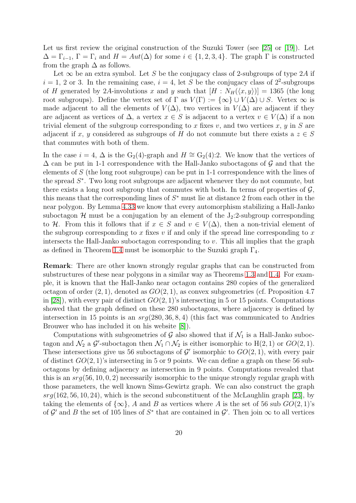Let us first review the original construction of the Suzuki Tower (see [\[25\]](#page-23-3) or [\[19\]](#page-23-16)). Let  $\Delta = \Gamma_{i-1}, \Gamma = \Gamma_i$  and  $H = Aut(\Delta)$  for some  $i \in \{1, 2, 3, 4\}.$  The graph  $\Gamma$  is constructed from the graph  $\Delta$  as follows.

Let  $\infty$  be an extra symbol. Let S be the conjugacy class of 2-subgroups of type 2A if  $i = 1, 2$  or 3. In the remaining case,  $i = 4$ , let S be the conjugacy class of  $2^2$ -subgroups of H generated by 2A-involutions x and y such that  $[H: N_H(\langle x, y \rangle)] = 1365$  (the long root subgroups). Define the vertex set of  $\Gamma$  as  $V(\Gamma) := {\infty} \cup V(\Delta) \cup S$ . Vertex  $\infty$  is made adjacent to all the elements of  $V(\Delta)$ , two vertices in  $V(\Delta)$  are adjacent if they are adjacent as vertices of  $\Delta$ , a vertex  $x \in S$  is adjacent to a vertex  $v \in V(\Delta)$  if a non trivial element of the subgroup corresponding to x fixes v, and two vertices x, y in S are adjacent if x, y considered as subgroups of H do not commute but there exists a  $z \in S$ that commutes with both of them.

In the case  $i = 4$ ,  $\Delta$  is the G<sub>2</sub>(4)-graph and  $H \cong G_2(4):2$ . We know that the vertices of  $\Delta$  can be put in 1-1 correspondence with the Hall-Janko suboctagons of G and that the elements of S (the long root subgroups) can be put in 1-1 correspondence with the lines of the spread  $S^*$ . Two long root subgroups are adjacent whenever they do not commute, but there exists a long root subgroup that commutes with both. In terms of properties of  $\mathcal{G}$ , this means that the corresponding lines of  $S^*$  must lie at distance 2 from each other in the near polygon. By Lemma [4.33](#page-17-3) we know that every automorphism stabilizing a Hall-Janko suboctagon  $H$  must be a conjugation by an element of the  $J_2:2$ -subgroup corresponding to H. From this it follows that if  $x \in S$  and  $v \in V(\Delta)$ , then a non-trivial element of the subgroup corresponding to x fixes  $v$  if and only if the spread line corresponding to  $x$ intersects the Hall-Janko suboctagon corresponding to  $v$ . This all implies that the graph as defined in Theorem [1.4](#page-2-1) must be isomorphic to the Suzuki graph  $\Gamma_4$ .

Remark: There are other known strongly regular graphs that can be constructed from substructures of these near polygons in a similar way as Theorems [1.3](#page-2-0) and [1.4.](#page-2-1) For example, it is known that the Hall-Janko near octagon contains 280 copies of the generalized octagon of order  $(2, 1)$ , denoted as  $GO(2, 1)$ , as convex subgeometries (cf. Proposition 4.7) in [\[28\]](#page-23-17)), with every pair of distinct  $GO(2, 1)$ 's intersecting in 5 or 15 points. Computations showed that the graph defined on these 280 suboctagons, where adjacency is defined by intersection in 15 points is an  $srq(280, 36, 8, 4)$  (this fact was communicated to Andries Brouwer who has included it on his website [\[8\]](#page-22-8)).

Computations with subgeometries of  $G$  also showed that if  $\mathcal{N}_1$  is a Hall-Janko suboctagon and  $\mathcal{N}_2$  a  $\mathcal{G}'$ -suboctagon then  $\mathcal{N}_1 \cap \mathcal{N}_2$  is either isomorphic to  $H(2, 1)$  or  $GO(2, 1)$ . These intersections give us 56 suboctagons of  $\mathcal{G}'$  isomorphic to  $GO(2,1)$ , with every pair of distinct  $GO(2, 1)$ 's intersecting in 5 or 9 points. We can define a graph on these 56 suboctagons by defining adjacency as intersection in 9 points. Computations revealed that this is an  $srg(56, 10, 0, 2)$  necessarily isomorphic to the unique strongly regular graph with those parameters, the well known Sims-Gewirtz graph. We can also construct the graph  $s\tau q(162, 56, 10, 24)$ , which is the second subconstituent of the McLaughlin graph [\[23\]](#page-23-11), by taking the elements of  $\{\infty\}$ , A and B as vertices where A is the set of 56 sub  $GO(2, 1)$ 's of  $\mathcal{G}'$  and B the set of 105 lines of  $S^*$  that are contained in  $\mathcal{G}'$ . Then join  $\infty$  to all vertices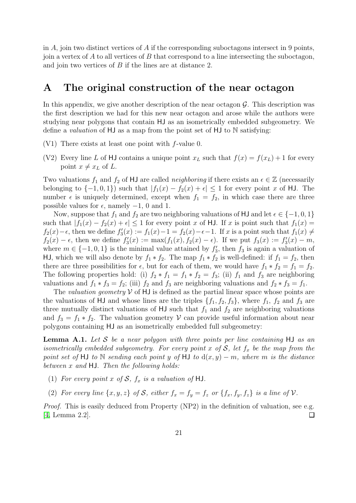in  $\tilde{A}$ , join two distinct vertices of  $\tilde{A}$  if the corresponding suboctagons intersect in 9 points, join a vertex of  $A$  to all vertices of  $B$  that correspond to a line intersecting the suboctagon, and join two vertices of B if the lines are at distance 2.

## <span id="page-20-0"></span>A The original construction of the near octagon

In this appendix, we give another description of the near octagon  $\mathcal{G}$ . This description was the first description we had for this new near octagon and arose while the authors were studying near polygons that contain HJ as an isometrically embedded subgeometry. We define a *valuation* of HJ as a map from the point set of HJ to N satisfying:

- (V1) There exists at least one point with f-value 0.
- (V2) Every line L of HJ contains a unique point  $x_L$  such that  $f(x) = f(x_L) + 1$  for every point  $x \neq x_L$  of L.

Two valuations  $f_1$  and  $f_2$  of HJ are called *neighboring* if there exists an  $\epsilon \in \mathbb{Z}$  (necessarily belonging to  $\{-1,0,1\}$  such that  $|f_1(x) - f_2(x) + \epsilon| \leq 1$  for every point x of HJ. The number  $\epsilon$  is uniquely determined, except when  $f_1 = f_2$ , in which case there are three possible values for  $\epsilon$ , namely  $-1$ , 0 and 1.

Now, suppose that  $f_1$  and  $f_2$  are two neighboring valuations of HJ and let  $\epsilon \in \{-1,0,1\}$ such that  $|f_1(x) - f_2(x) + \epsilon| \leq 1$  for every point x of HJ. If x is point such that  $f_1(x) =$  $f_2(x) - \epsilon$ , then we define  $f'_3(x) := f_1(x) - 1 = f_2(x) - \epsilon - 1$ . If x is a point such that  $f_1(x) \neq$  $f_2(x) - \epsilon$ , then we define  $f'_3(x) := \max(f_1(x), f_2(x) - \epsilon)$ . If we put  $f_3(x) := f'_3(x) - m$ , where  $m \in \{-1, 0, 1\}$  is the minimal value attained by  $f'_3$ , then  $f_3$  is again a valuation of HJ, which we will also denote by  $f_1 * f_2$ . The map  $f_1 * f_2$  is well-defined: if  $f_1 = f_2$ , then there are three possibilities for  $\epsilon$ , but for each of them, we would have  $f_1 * f_2 = f_1 = f_2$ . The following properties hold: (i)  $f_2 * f_1 = f_1 * f_2 = f_3$ ; (ii)  $f_1$  and  $f_3$  are neighboring valuations and  $f_1 * f_3 = f_2$ ; (iii)  $f_2$  and  $f_3$  are neighboring valuations and  $f_2 * f_3 = f_1$ .

The *valuation geometry*  $V$  of  $HJ$  is defined as the partial linear space whose points are the valuations of HJ and whose lines are the triples  $\{f_1, f_2, f_3\}$ , where  $f_1, f_2$  and  $f_3$  are three mutually distinct valuations of  $HJ$  such that  $f_1$  and  $f_2$  are neighboring valuations and  $f_3 = f_1 * f_2$ . The valuation geometry V can provide useful information about near polygons containing HJ as an isometrically embedded full subgeometry:

<span id="page-20-1"></span>Lemma A.1. *Let* S *be a near polygon with three points per line containing* HJ *as an isometrically embedded subgeometry. For every point* x of  $S$ , let  $f_x$  be the map from the *point set of* HJ *to* N *sending each point* y *of* HJ *to*  $d(x, y) - m$ *, where* m *is the distance between* x *and* HJ*. Then the following holds:*

- (1) For every point x of S,  $f_x$  is a valuation of HJ.
- (2) For every line  $\{x, y, z\}$  of S, either  $f_x = f_y = f_z$  or  $\{f_x, f_y, f_z\}$  is a line of  $\mathcal V$ .

*Proof.* This is easily deduced from Property (NP2) in the definition of valuation, see e.g. [\[4,](#page-22-9) Lemma 2.2].  $\Box$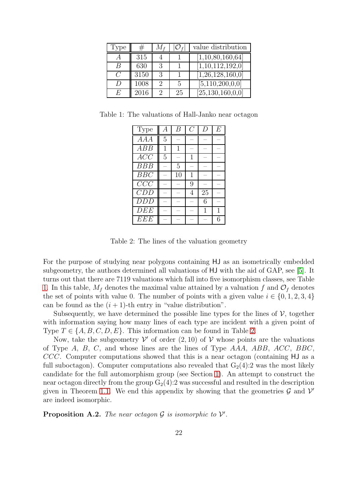| Type | ₩    |   |    | value distribution   |
|------|------|---|----|----------------------|
|      | 315  |   |    | [1,10,80,160,64]     |
| B    | 630  | 3 |    | [1,10,112,192,0]     |
|      | 3150 | 3 |    | [1,26,128,160,0]     |
|      | 1008 | € | 5  | [5,110,200,0,0]      |
| E.   | 2016 | 9 | 25 | [25, 130, 160, 0, 0] |

Table 1: The valuations of Hall-Janko near octagon

<span id="page-21-0"></span>

| Type             | А | R  |   | I) | F, |
|------------------|---|----|---|----|----|
| $\overline{AAA}$ | 5 |    |   |    |    |
| ABB              | 1 | 1  |   |    |    |
| $\overline{ACC}$ | 5 |    |   |    |    |
| BBB              |   | 5  |   |    |    |
| BBC              |   | 10 | 1 |    |    |
| CCC              |   |    | 9 |    |    |
| CDD              |   |    | 4 | 25 |    |
| <b>DDD</b>       |   |    |   | 6  |    |
| DEE              |   |    |   |    |    |
| EEE              |   |    |   |    | 6  |

<span id="page-21-1"></span>Table 2: The lines of the valuation geometry

For the purpose of studying near polygons containing HJ as an isometrically embedded subgeometry, the authors determined all valuations of HJ with the aid of GAP, see [\[5\]](#page-22-7). It turns out that there are 7119 valuations which fall into five isomorphism classes, see Table [1.](#page-21-0) In this table,  $M_f$  denotes the maximal value attained by a valuation f and  $\mathcal{O}_f$  denotes the set of points with value 0. The number of points with a given value  $i \in \{0, 1, 2, 3, 4\}$ can be found as the  $(i + 1)$ -th entry in "value distribution".

Subsequently, we have determined the possible line types for the lines of  $\mathcal V$ , together with information saying how many lines of each type are incident with a given point of Type  $T \in \{A, B, C, D, E\}$ . This information can be found in Table [2.](#page-21-1)

Now, take the subgeometry  $\mathcal V'$  of order  $(2,10)$  of  $\mathcal V$  whose points are the valuations of Type A, B, C, and whose lines are the lines of Type AAA, ABB, ACC, BBC, CCC. Computer computations showed that this is a near octagon (containing HJ as a full suboctagon). Computer computations also revealed that  $G_2(4)$ : 2 was the most likely candidate for the full automorphism group (see Section [1\)](#page-0-0). An attempt to construct the near octagon directly from the group  $G_2(4)$ :2 was successful and resulted in the description given in Theorem [1.1.](#page-1-0) We end this appendix by showing that the geometries  $\mathcal G$  and  $\mathcal V'$ are indeed isomorphic.

**Proposition A.2.** The near octagon  $\mathcal G$  is isomorphic to  $\mathcal V'$ .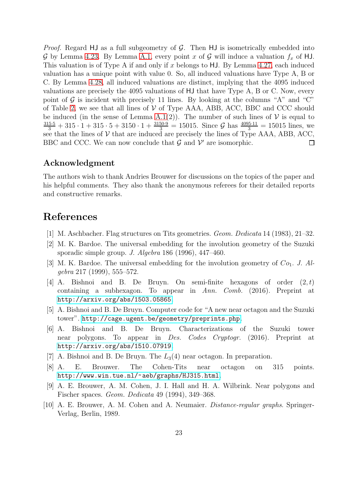*Proof.* Regard HJ as a full subgeometry of  $G$ . Then HJ is isometrically embedded into G by Lemma [4.23.](#page-14-1) By Lemma [A.1,](#page-20-1) every point x of G will induce a valuation  $f_x$  of HJ. This valuation is of Type A if and only if  $x$  belongs to HJ. By Lemma [4.27,](#page-15-0) each induced valuation has a unique point with value 0. So, all induced valuations have Type A, B or C. By Lemma [4.28,](#page-16-3) all induced valuations are distinct, implying that the 4095 induced valuations are precisely the 4095 valuations of HJ that have Type A, B or C. Now, every point of  $\mathcal G$  is incident with precisely 11 lines. By looking at the columns "A" and "C" of Table [2,](#page-21-1) we see that all lines of  $\mathcal V$  of Type AAA, ABB, ACC, BBC and CCC should be induced (in the sense of Lemma [A.1\(](#page-20-1)2)). The number of such lines of  $V$  is equal to  $\frac{315\cdot5}{3} + 315\cdot1 + 315\cdot5 + 3150\cdot1 + \frac{3150\cdot9}{3} = 15015$ . Since G has  $\frac{4095\cdot11}{3} = 15015$  lines, we see that the lines of  $V$  that are induced are precisely the lines of Type AAA, ABB, ACC, BBC and CCC. We can now conclude that  $\mathcal G$  and  $\mathcal V'$  are isomorphic. □

### Acknowledgment

The authors wish to thank Andries Brouwer for discussions on the topics of the paper and his helpful comments. They also thank the anonymous referees for their detailed reports and constructive remarks.

# <span id="page-22-1"></span>References

- <span id="page-22-3"></span>[1] M. Aschbacher. Flag structures on Tits geometries. *Geom. Dedicata* 14 (1983), 21–32.
- <span id="page-22-4"></span>[2] M. K. Bardoe. The universal embedding for the involution geometry of the Suzuki sporadic simple group. *J. Algebra* 186 (1996), 447–460.
- <span id="page-22-9"></span>[3] M. K. Bardoe. The universal embedding for the involution geometry of  $Co<sub>1</sub>$ . J. Al*gebra* 217 (1999), 555–572.
- [4] A. Bishnoi and B. De Bruyn. On semi-finite hexagons of order  $(2,t)$ containing a subhexagon. To appear in *Ann. Comb.* (2016). Preprint at <http://arxiv.org/abs/1503.05865>.
- <span id="page-22-7"></span><span id="page-22-5"></span>[5] A. Bishnoi and B. De Bruyn. Computer code for "A new near octagon and the Suzuki tower". <http://cage.ugent.be/geometry/preprints.php>.
- [6] A. Bishnoi and B. De Bruyn. Characterizations of the Suzuki tower near polygons. To appear in *Des. Codes Cryptogr.* (2016). Preprint at <http://arxiv.org/abs/1510.07919>.
- <span id="page-22-8"></span><span id="page-22-6"></span>[7] A. Bishnoi and B. De Bruyn. The  $L_3(4)$  near octagon. In preparation.
- <span id="page-22-2"></span>[8] A. E. Brouwer. The Cohen-Tits near octagon on 315 points. <http://www.win.tue.nl/~aeb/graphs/HJ315.html>.
- <span id="page-22-0"></span>[9] A. E. Brouwer, A. M. Cohen, J. I. Hall and H. A. Wilbrink. Near polygons and Fischer spaces. *Geom. Dedicata* 49 (1994), 349–368.
- [10] A. E. Brouwer, A. M. Cohen and A. Neumaier. *Distance-regular graphs*. Springer-Verlag, Berlin, 1989.